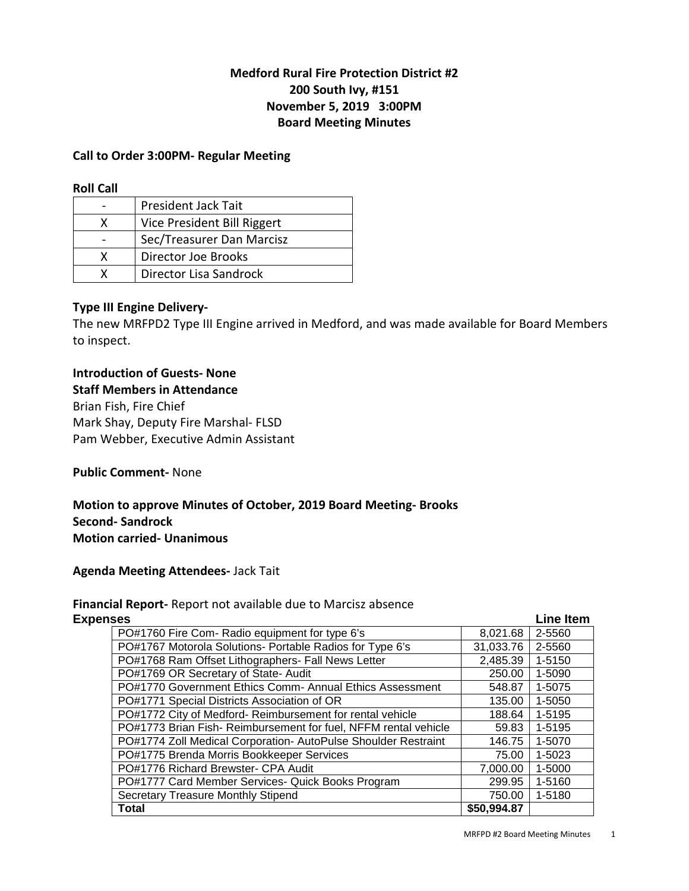# **Medford Rural Fire Protection District #2 200 South Ivy, #151 November 5, 2019 3:00PM Board Meeting Minutes**

#### **Call to Order 3:00PM- Regular Meeting**

#### **Roll Call**

|   | President Jack Tait         |
|---|-----------------------------|
| x | Vice President Bill Riggert |
|   | Sec/Treasurer Dan Marcisz   |
| x | Director Joe Brooks         |
|   | Director Lisa Sandrock      |

#### **Type III Engine Delivery-**

The new MRFPD2 Type III Engine arrived in Medford, and was made available for Board Members to inspect.

## **Introduction of Guests- None Staff Members in Attendance**

Brian Fish, Fire Chief Mark Shay, Deputy Fire Marshal- FLSD Pam Webber, Executive Admin Assistant

#### **Public Comment-** None

**Motion to approve Minutes of October, 2019 Board Meeting- Brooks Second- Sandrock Motion carried- Unanimous** 

#### **Agenda Meeting Attendees-** Jack Tait

# **Financial Report-** Report not available due to Marcisz absence

| <b>Expenses</b>                                                |             |        |  |  |
|----------------------------------------------------------------|-------------|--------|--|--|
| PO#1760 Fire Com- Radio equipment for type 6's                 | 8,021.68    | 2-5560 |  |  |
| PO#1767 Motorola Solutions- Portable Radios for Type 6's       | 31,033.76   | 2-5560 |  |  |
| PO#1768 Ram Offset Lithographers- Fall News Letter             | 2,485.39    | 1-5150 |  |  |
| PO#1769 OR Secretary of State- Audit                           | 250.00      | 1-5090 |  |  |
| PO#1770 Government Ethics Comm- Annual Ethics Assessment       | 548.87      | 1-5075 |  |  |
| PO#1771 Special Districts Association of OR                    | 135.00      | 1-5050 |  |  |
| PO#1772 City of Medford-Reimbursement for rental vehicle       | 188.64      | 1-5195 |  |  |
| PO#1773 Brian Fish-Reimbursement for fuel, NFFM rental vehicle | 59.83       | 1-5195 |  |  |
| PO#1774 Zoll Medical Corporation- AutoPulse Shoulder Restraint | 146.75      | 1-5070 |  |  |
| PO#1775 Brenda Morris Bookkeeper Services                      | 75.00       | 1-5023 |  |  |
| PO#1776 Richard Brewster- CPA Audit                            | 7,000.00    | 1-5000 |  |  |
| PO#1777 Card Member Services- Quick Books Program              | 299.95      | 1-5160 |  |  |
| Secretary Treasure Monthly Stipend                             | 750.00      | 1-5180 |  |  |
| Total                                                          | \$50,994.87 |        |  |  |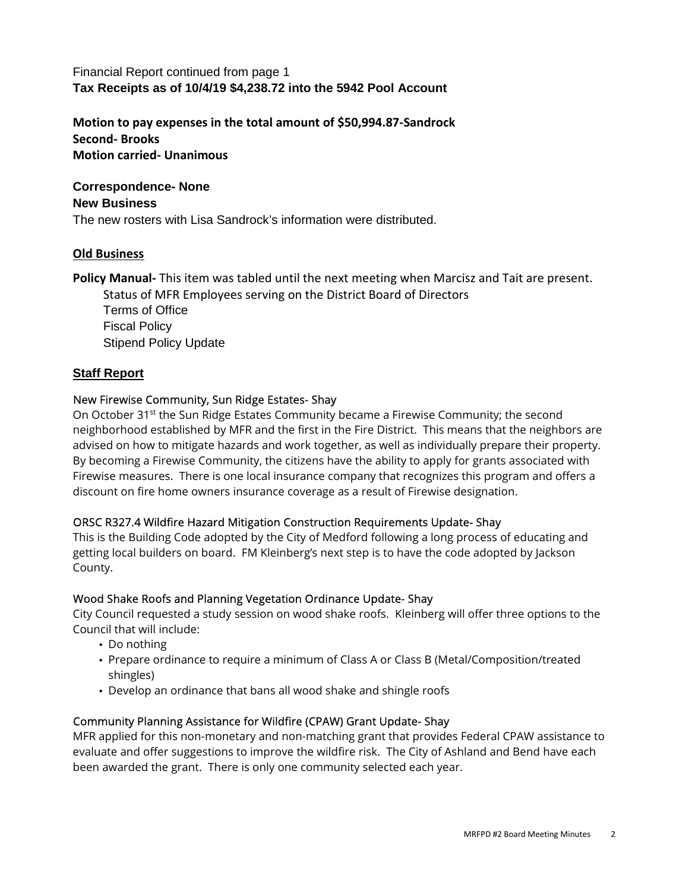# Financial Report continued from page 1 **Tax Receipts as of 10/4/19 \$4,238.72 into the 5942 Pool Account**

**Motion to pay expenses in the total amount of \$50,994.87-Sandrock Second- Brooks Motion carried- Unanimous** 

## **Correspondence- None**

#### **New Business**

The new rosters with Lisa Sandrock's information were distributed.

## **Old Business**

**Policy Manual-** This item was tabled until the next meeting when Marcisz and Tait are present.

Status of MFR Employees serving on the District Board of Directors Terms of Office Fiscal Policy Stipend Policy Update

#### **Staff Report**

#### New Firewise Community, Sun Ridge Estates- Shay

On October 31<sup>st</sup> the Sun Ridge Estates Community became a Firewise Community; the second neighborhood established by MFR and the first in the Fire District. This means that the neighbors are advised on how to mitigate hazards and work together, as well as individually prepare their property. By becoming a Firewise Community, the citizens have the ability to apply for grants associated with Firewise measures. There is one local insurance company that recognizes this program and offers a discount on fire home owners insurance coverage as a result of Firewise designation.

## ORSC R327.4 Wildfire Hazard Mitigation Construction Requirements Update- Shay

This is the Building Code adopted by the City of Medford following a long process of educating and getting local builders on board. FM Kleinberg's next step is to have the code adopted by Jackson County.

#### Wood Shake Roofs and Planning Vegetation Ordinance Update- Shay

City Council requested a study session on wood shake roofs. Kleinberg will offer three options to the Council that will include:

- Do nothing
- Prepare ordinance to require a minimum of Class A or Class B (Metal/Composition/treated shingles)
- Develop an ordinance that bans all wood shake and shingle roofs

## Community Planning Assistance for Wildfire (CPAW) Grant Update- Shay

MFR applied for this non-monetary and non-matching grant that provides Federal CPAW assistance to evaluate and offer suggestions to improve the wildfire risk. The City of Ashland and Bend have each been awarded the grant. There is only one community selected each year.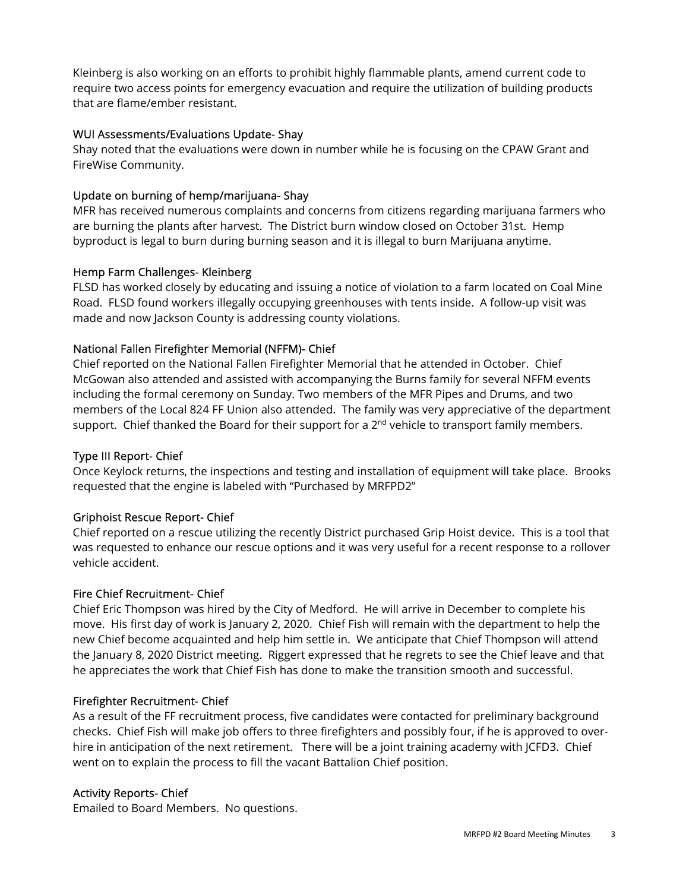Kleinberg is also working on an efforts to prohibit highly flammable plants, amend current code to require two access points for emergency evacuation and require the utilization of building products that are flame/ember resistant.

## WUI Assessments/Evaluations Update- Shay

Shay noted that the evaluations were down in number while he is focusing on the CPAW Grant and FireWise Community.

# Update on burning of hemp/marijuana- Shay

MFR has received numerous complaints and concerns from citizens regarding marijuana farmers who are burning the plants after harvest. The District burn window closed on October 31st. Hemp byproduct is legal to burn during burning season and it is illegal to burn Marijuana anytime.

# Hemp Farm Challenges- Kleinberg

FLSD has worked closely by educating and issuing a notice of violation to a farm located on Coal Mine Road. FLSD found workers illegally occupying greenhouses with tents inside. A follow-up visit was made and now Jackson County is addressing county violations.

# National Fallen Firefighter Memorial (NFFM)- Chief

Chief reported on the National Fallen Firefighter Memorial that he attended in October. Chief McGowan also attended and assisted with accompanying the Burns family for several NFFM events including the formal ceremony on Sunday. Two members of the MFR Pipes and Drums, and two members of the Local 824 FF Union also attended. The family was very appreciative of the department support. Chief thanked the Board for their support for a  $2<sup>nd</sup>$  vehicle to transport family members.

# Type III Report- Chief

Once Keylock returns, the inspections and testing and installation of equipment will take place. Brooks requested that the engine is labeled with "Purchased by MRFPD2"

# Griphoist Rescue Report- Chief

Chief reported on a rescue utilizing the recently District purchased Grip Hoist device. This is a tool that was requested to enhance our rescue options and it was very useful for a recent response to a rollover vehicle accident.

# Fire Chief Recruitment- Chief

Chief Eric Thompson was hired by the City of Medford. He will arrive in December to complete his move. His first day of work is January 2, 2020. Chief Fish will remain with the department to help the new Chief become acquainted and help him settle in. We anticipate that Chief Thompson will attend the January 8, 2020 District meeting. Riggert expressed that he regrets to see the Chief leave and that he appreciates the work that Chief Fish has done to make the transition smooth and successful.

# Firefighter Recruitment- Chief

As a result of the FF recruitment process, five candidates were contacted for preliminary background checks. Chief Fish will make job offers to three firefighters and possibly four, if he is approved to overhire in anticipation of the next retirement. There will be a joint training academy with JCFD3. Chief went on to explain the process to fill the vacant Battalion Chief position.

# Activity Reports- Chief

Emailed to Board Members. No questions.